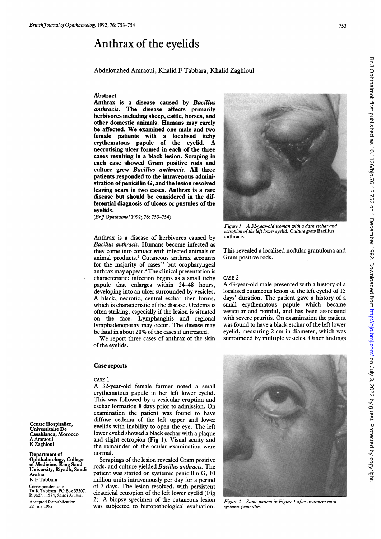# Anthrax of the eyelids

Abdelouahed Amraoui, Khalid F Tabbara, Khalid Zaghloul

## Abstract

Anthrax is a disease caused by Bacillus anthracis. The disease affects primarily herbivores including sheep, cattle, horses, and other domestic animals. Humans may rarely be affected. We examined one male and two female patients with a localised itchy erythematous papule of the eyelid. A necrotising ulcer formed in each of the three cases resulting in a black lesion. Scraping in each case showed Gram positive rods and culture grew Bacillus anthracis. All three patients responded to the intravenous administration of penicillin G, and the lesion resolved leaving scars in two cases. Anthrax is a rare disease but should be considered in the differential diagnosis of ulcers or pustules of the eyelids.

(Br J Ophthalmol 1992; 76: 753-754)

Anthrax is a disease of herbivores caused by Bacillus anthracis. Humans become infected as they come into contact with infected animals or animal products.' Cutaneous anthrax accounts for the majority of cases<sup>23</sup> but oropharyngeal anthrax may appear.4 The clinical presentation is characteristic: infection begins as a small itchy papule that enlarges within 24-48 hours, developing into an ulcer surrounded by vesicles. A black, necrotic, central eschar then forms, which is characteristic of the disease. Oedema is often striking, especially if the lesion is situated on the face. Lymphangitis and regional lymphadenopathy may occur. The disease may be fatal in about 20% of the cases if untreated.

We report three cases of anthrax of the skin of the eyelids.

### Case reports

CASE <sup>1</sup>

A 32-year-old female farmer noted <sup>a</sup> small erythematous papule in her left lower eyelid. This was followed by a vesicular eruption and eschar formation <sup>8</sup> days prior to admission. On examination the patient was found to have diffuse oedema of the left upper and lower eyelids with inability to open the eye. The left lower eyelid showed a black eschar with a plaque and slight ectropion (Fig 1). Visual acuity and the remainder of the ocular examination were normal.

Scrapings of the lesion revealed Gram positive rods, and culture yielded Bacillus anthracis. The patient was started on systemic penicillin G, 10 million units intravenously per day for a period of 7 days. The lesion resolved, with persistent cicatricial ectropion of the left lower eyelid (Fig 2). A biopsy specimen of the cutaneous lesion was subjected to histopathological evaluation.



Figure <sup>I</sup> A 32-year-old woman with <sup>a</sup> dark eschar and ectropion of the left lower eyelid. Culture grew Bacillus anthracis.

This revealed a localised nodular granuloma and Gram positive rods.

#### CASE 2

A 43-year-old male presented with <sup>a</sup> history of <sup>a</sup> localised cutaneous lesion of the left eyelid of 15 days' duration. The patient gave a history of a small erythematous papule which became vesicular and painful, and has been associated with severe pruritis. On examination the patient was found to have a black eschar of the left lower eyelid, measuring <sup>2</sup> cm in diameter, which was surrounded by multiple vesicles. Other findings



Figure 2 Same patient in Figure <sup>I</sup> after treatment with systemic penicillin.

Centre Hospitalier, Universitaire De Casablanca, Morocco A Amraoui K Zaghloul

Department of Ophthalmology, College of Medicine, King Saud University, Riyadh, Saudi Arabia K F Tabbara

Correspondence to: Dr K Tabbara, PO Box 55307, Riyadh 11534, Saudi Arabia. Accepted for publication 22 July 1992